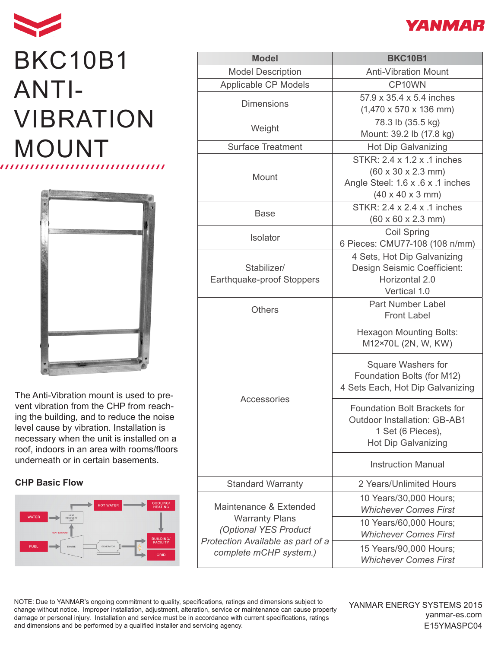## BKC10B1 ANTI-VIBRATION MOUNT



The Anti-Vibration mount is used to prevent vibration from the CHP from reaching the building, and to reduce the noise level cause by vibration. Installation is necessary when the unit is installed on a roof, indoors in an area with rooms/floors underneath or in certain basements.

## **CHP Basic Flow**



| <b>Model</b>                                                                                                                            | <b>BKC10B1</b>                                                                                                                                     |
|-----------------------------------------------------------------------------------------------------------------------------------------|----------------------------------------------------------------------------------------------------------------------------------------------------|
| <b>Model Description</b>                                                                                                                | <b>Anti-Vibration Mount</b>                                                                                                                        |
| Applicable CP Models                                                                                                                    | CP10WN                                                                                                                                             |
| <b>Dimensions</b>                                                                                                                       | 57.9 x 35.4 x 5.4 inches<br>$(1,470 \times 570 \times 136 \text{ mm})$                                                                             |
| Weight                                                                                                                                  | 78.3 lb (35.5 kg)<br>Mount: 39.2 lb (17.8 kg)                                                                                                      |
| <b>Surface Treatment</b>                                                                                                                | <b>Hot Dip Galvanizing</b>                                                                                                                         |
| Mount                                                                                                                                   | STKR: 2.4 x 1.2 x .1 inches<br>$(60 \times 30 \times 2.3 \text{ mm})$<br>Angle Steel: 1.6 x .6 x .1 inches<br>$(40 \times 40 \times 3 \text{ mm})$ |
| <b>Base</b>                                                                                                                             | STKR: 2.4 x 2.4 x .1 inches<br>$(60 \times 60 \times 2.3 \text{ mm})$                                                                              |
| <b>Isolator</b>                                                                                                                         | <b>Coil Spring</b><br>6 Pieces: CMU77-108 (108 n/mm)                                                                                               |
| Stabilizer/<br>Earthquake-proof Stoppers                                                                                                | 4 Sets, Hot Dip Galvanizing<br>Design Seismic Coefficient:<br>Horizontal 2.0<br>Vertical 1.0                                                       |
| <b>Others</b>                                                                                                                           | <b>Part Number Label</b><br><b>Front Label</b>                                                                                                     |
| Accessories                                                                                                                             | <b>Hexagon Mounting Bolts:</b><br>M12×70L (2N, W, KW)                                                                                              |
|                                                                                                                                         | Square Washers for<br>Foundation Bolts (for M12)<br>4 Sets Each, Hot Dip Galvanizing                                                               |
|                                                                                                                                         | <b>Foundation Bolt Brackets for</b><br><b>Outdoor Installation: GB-AB1</b><br>1 Set (6 Pieces),<br><b>Hot Dip Galvanizing</b>                      |
|                                                                                                                                         | <b>Instruction Manual</b>                                                                                                                          |
| <b>Standard Warranty</b>                                                                                                                | 2 Years/Unlimited Hours                                                                                                                            |
| Maintenance & Extended<br><b>Warranty Plans</b><br>(Optional YES Product<br>Protection Available as part of a<br>complete mCHP system.) | 10 Years/30,000 Hours;<br><b>Whichever Comes First</b>                                                                                             |
|                                                                                                                                         | 10 Years/60,000 Hours;<br><b>Whichever Comes First</b>                                                                                             |
|                                                                                                                                         | 15 Years/90,000 Hours;<br><b>Whichever Comes First</b>                                                                                             |

NOTE: Due to YANMAR's ongoing commitment to quality, specifications, ratings and dimensions subject to change without notice. Improper installation, adjustment, alteration, service or maintenance can cause property damage or personal injury. Installation and service must be in accordance with current specifications, ratings and dimensions and be performed by a qualified installer and servicing agency.